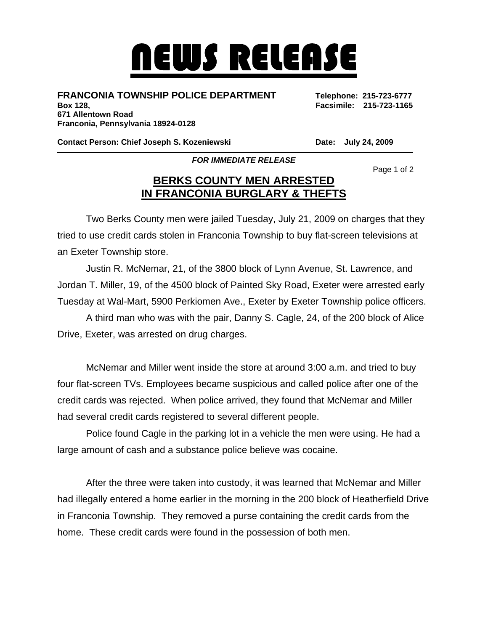## NEWS RELEASE

## **FRANCONIA TOWNSHIP POLICE DEPARTMENT Telephone: 215-723-6777**

**Box 128, Facsimile: 215-723-1165 671 Allentown Road Franconia, Pennsylvania 18924-0128** 

**Contact Person: Chief Joseph S. Kozeniewski Chief Late: July 24, 2009** 

*FOR IMMEDIATE RELEASE* 

Page 1 of 2

## **BERKS COUNTY MEN ARRESTED IN FRANCONIA BURGLARY & THEFTS**

 Two Berks County men were jailed Tuesday, July 21, 2009 on charges that they tried to use credit cards stolen in Franconia Township to buy flat-screen televisions at an Exeter Township store.

 Justin R. McNemar, 21, of the 3800 block of Lynn Avenue, St. Lawrence, and Jordan T. Miller, 19, of the 4500 block of Painted Sky Road, Exeter were arrested early Tuesday at Wal-Mart, 5900 Perkiomen Ave., Exeter by Exeter Township police officers.

 A third man who was with the pair, Danny S. Cagle, 24, of the 200 block of Alice Drive, Exeter, was arrested on drug charges.

 McNemar and Miller went inside the store at around 3:00 a.m. and tried to buy four flat-screen TVs. Employees became suspicious and called police after one of the credit cards was rejected. When police arrived, they found that McNemar and Miller had several credit cards registered to several different people.

 Police found Cagle in the parking lot in a vehicle the men were using. He had a large amount of cash and a substance police believe was cocaine.

 After the three were taken into custody, it was learned that McNemar and Miller had illegally entered a home earlier in the morning in the 200 block of Heatherfield Drive in Franconia Township. They removed a purse containing the credit cards from the home. These credit cards were found in the possession of both men.